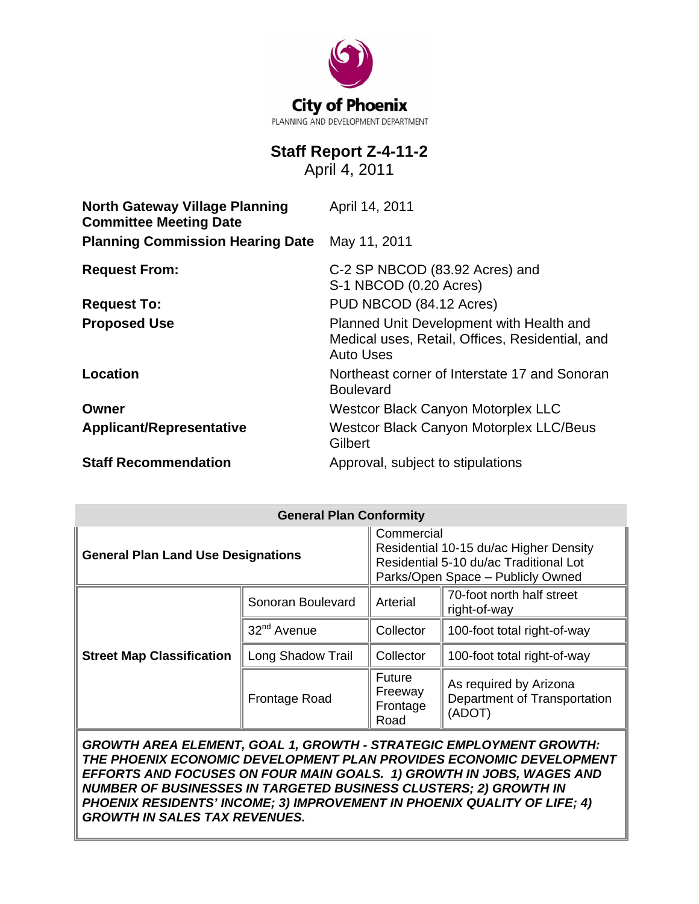

# **Staff Report Z-4-11-2**

April 4, 2011

| <b>North Gateway Village Planning</b><br><b>Committee Meeting Date</b> | April 14, 2011                                                                                                  |  |  |
|------------------------------------------------------------------------|-----------------------------------------------------------------------------------------------------------------|--|--|
| <b>Planning Commission Hearing Date</b>                                | May 11, 2011                                                                                                    |  |  |
| <b>Request From:</b>                                                   | C-2 SP NBCOD (83.92 Acres) and<br>S-1 NBCOD (0.20 Acres)                                                        |  |  |
| <b>Request To:</b>                                                     | PUD NBCOD (84.12 Acres)                                                                                         |  |  |
| <b>Proposed Use</b>                                                    | Planned Unit Development with Health and<br>Medical uses, Retail, Offices, Residential, and<br><b>Auto Uses</b> |  |  |
| Location                                                               | Northeast corner of Interstate 17 and Sonoran<br><b>Boulevard</b>                                               |  |  |
| Owner                                                                  | <b>Westcor Black Canyon Motorplex LLC</b>                                                                       |  |  |
| <b>Applicant/Representative</b>                                        | <b>Westcor Black Canyon Motorplex LLC/Beus</b><br>Gilbert                                                       |  |  |
| <b>Staff Recommendation</b>                                            | Approval, subject to stipulations                                                                               |  |  |

| <b>General Plan Conformity</b>            |                         |                                                                                                                                     |                                                                  |  |
|-------------------------------------------|-------------------------|-------------------------------------------------------------------------------------------------------------------------------------|------------------------------------------------------------------|--|
| <b>General Plan Land Use Designations</b> |                         | Commercial<br>Residential 10-15 du/ac Higher Density<br>Residential 5-10 du/ac Traditional Lot<br>Parks/Open Space - Publicly Owned |                                                                  |  |
| <b>Street Map Classification</b>          | Sonoran Boulevard       | Arterial                                                                                                                            | 70-foot north half street<br>right-of-way                        |  |
|                                           | 32 <sup>nd</sup> Avenue | Collector                                                                                                                           | 100-foot total right-of-way                                      |  |
|                                           | Long Shadow Trail       | Collector                                                                                                                           | 100-foot total right-of-way                                      |  |
|                                           | Frontage Road           | <b>Future</b><br>Freeway<br>Frontage<br>Road                                                                                        | As required by Arizona<br>Department of Transportation<br>(ADOT) |  |

*GROWTH AREA ELEMENT, GOAL 1, GROWTH - STRATEGIC EMPLOYMENT GROWTH: THE PHOENIX ECONOMIC DEVELOPMENT PLAN PROVIDES ECONOMIC DEVELOPMENT EFFORTS AND FOCUSES ON FOUR MAIN GOALS. 1) GROWTH IN JOBS, WAGES AND NUMBER OF BUSINESSES IN TARGETED BUSINESS CLUSTERS; 2) GROWTH IN PHOENIX RESIDENTS' INCOME; 3) IMPROVEMENT IN PHOENIX QUALITY OF LIFE; 4) GROWTH IN SALES TAX REVENUES.*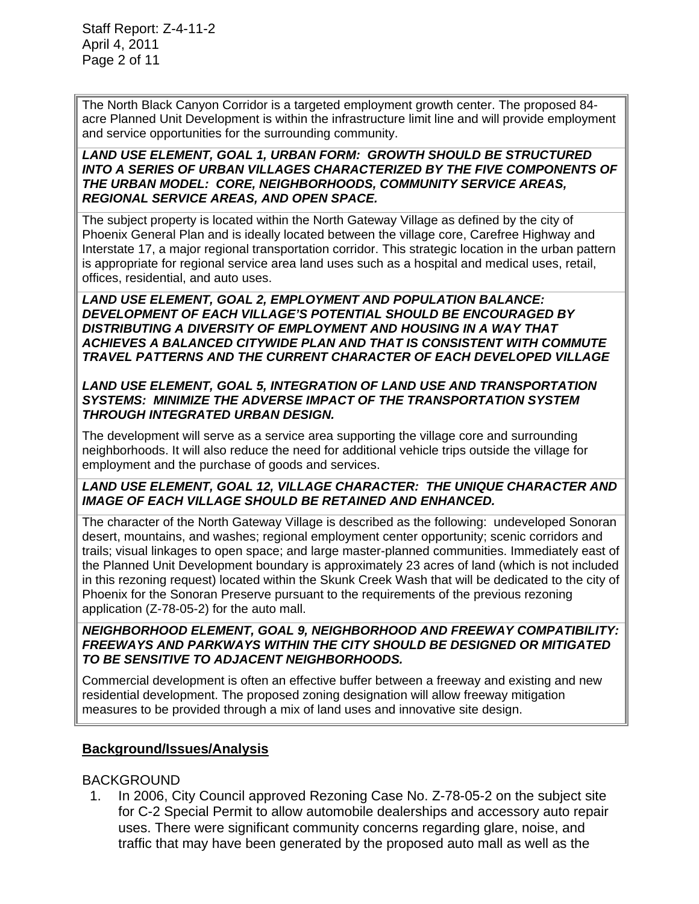The North Black Canyon Corridor is a targeted employment growth center. The proposed 84 acre Planned Unit Development is within the infrastructure limit line and will provide employment and service opportunities for the surrounding community.

#### *LAND USE ELEMENT, GOAL 1, URBAN FORM: GROWTH SHOULD BE STRUCTURED*  **INTO A SERIES OF URBAN VILLAGES CHARACTERIZED BY THE FIVE COMPONENTS OF** *THE URBAN MODEL: CORE, NEIGHBORHOODS, COMMUNITY SERVICE AREAS, REGIONAL SERVICE AREAS, AND OPEN SPACE.*

The subject property is located within the North Gateway Village as defined by the city of Phoenix General Plan and is ideally located between the village core, Carefree Highway and Interstate 17, a major regional transportation corridor. This strategic location in the urban pattern is appropriate for regional service area land uses such as a hospital and medical uses, retail, offices, residential, and auto uses.

*LAND USE ELEMENT, GOAL 2, EMPLOYMENT AND POPULATION BALANCE: DEVELOPMENT OF EACH VILLAGE'S POTENTIAL SHOULD BE ENCOURAGED BY DISTRIBUTING A DIVERSITY OF EMPLOYMENT AND HOUSING IN A WAY THAT ACHIEVES A BALANCED CITYWIDE PLAN AND THAT IS CONSISTENT WITH COMMUTE TRAVEL PATTERNS AND THE CURRENT CHARACTER OF EACH DEVELOPED VILLAGE* 

#### *LAND USE ELEMENT, GOAL 5, INTEGRATION OF LAND USE AND TRANSPORTATION SYSTEMS: MINIMIZE THE ADVERSE IMPACT OF THE TRANSPORTATION SYSTEM THROUGH INTEGRATED URBAN DESIGN.*

The development will serve as a service area supporting the village core and surrounding neighborhoods. It will also reduce the need for additional vehicle trips outside the village for employment and the purchase of goods and services.

#### LAND USE ELEMENT, GOAL 12, VILLAGE CHARACTER: THE UNIQUE CHARACTER AND *IMAGE OF EACH VILLAGE SHOULD BE RETAINED AND ENHANCED.*

The character of the North Gateway Village is described as the following: undeveloped Sonoran desert, mountains, and washes; regional employment center opportunity; scenic corridors and trails; visual linkages to open space; and large master-planned communities. Immediately east of the Planned Unit Development boundary is approximately 23 acres of land (which is not included in this rezoning request) located within the Skunk Creek Wash that will be dedicated to the city of Phoenix for the Sonoran Preserve pursuant to the requirements of the previous rezoning application (Z-78-05-2) for the auto mall.

#### *NEIGHBORHOOD ELEMENT, GOAL 9, NEIGHBORHOOD AND FREEWAY COMPATIBILITY: FREEWAYS AND PARKWAYS WITHIN THE CITY SHOULD BE DESIGNED OR MITIGATED TO BE SENSITIVE TO ADJACENT NEIGHBORHOODS.*

Commercial development is often an effective buffer between a freeway and existing and new residential development. The proposed zoning designation will allow freeway mitigation measures to be provided through a mix of land uses and innovative site design.

## **Background/Issues/Analysis**

#### BACKGROUND

 1. In 2006, City Council approved Rezoning Case No. Z-78-05-2 on the subject site for C-2 Special Permit to allow automobile dealerships and accessory auto repair uses. There were significant community concerns regarding glare, noise, and traffic that may have been generated by the proposed auto mall as well as the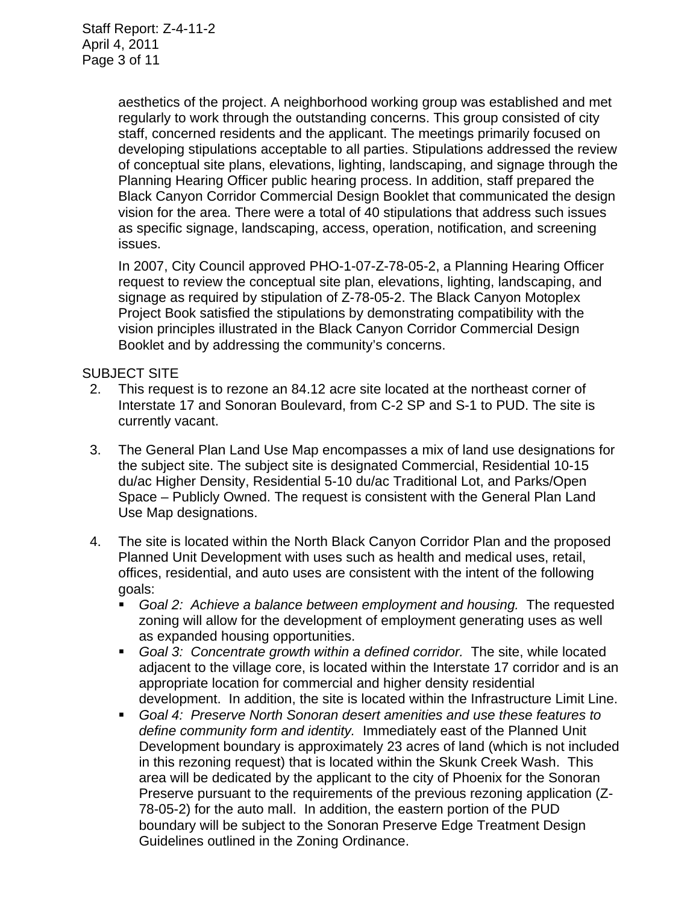aesthetics of the project. A neighborhood working group was established and met regularly to work through the outstanding concerns. This group consisted of city staff, concerned residents and the applicant. The meetings primarily focused on developing stipulations acceptable to all parties. Stipulations addressed the review of conceptual site plans, elevations, lighting, landscaping, and signage through the Planning Hearing Officer public hearing process. In addition, staff prepared the Black Canyon Corridor Commercial Design Booklet that communicated the design vision for the area. There were a total of 40 stipulations that address such issues as specific signage, landscaping, access, operation, notification, and screening issues.

In 2007, City Council approved PHO-1-07-Z-78-05-2, a Planning Hearing Officer request to review the conceptual site plan, elevations, lighting, landscaping, and signage as required by stipulation of Z-78-05-2. The Black Canyon Motoplex Project Book satisfied the stipulations by demonstrating compatibility with the vision principles illustrated in the Black Canyon Corridor Commercial Design Booklet and by addressing the community's concerns.

#### SUBJECT SITE

- 2. This request is to rezone an 84.12 acre site located at the northeast corner of Interstate 17 and Sonoran Boulevard, from C-2 SP and S-1 to PUD. The site is currently vacant.
- 3. The General Plan Land Use Map encompasses a mix of land use designations for the subject site. The subject site is designated Commercial, Residential 10-15 du/ac Higher Density, Residential 5-10 du/ac Traditional Lot, and Parks/Open Space – Publicly Owned. The request is consistent with the General Plan Land Use Map designations.
- 4. The site is located within the North Black Canyon Corridor Plan and the proposed Planned Unit Development with uses such as health and medical uses, retail, offices, residential, and auto uses are consistent with the intent of the following goals:
	- *Goal 2: Achieve a balance between employment and housing.* The requested zoning will allow for the development of employment generating uses as well as expanded housing opportunities.
	- **Goal 3: Concentrate growth within a defined corridor. The site, while located** adjacent to the village core, is located within the Interstate 17 corridor and is an appropriate location for commercial and higher density residential development. In addition, the site is located within the Infrastructure Limit Line.
	- *Goal 4: Preserve North Sonoran desert amenities and use these features to define community form and identity.* Immediately east of the Planned Unit Development boundary is approximately 23 acres of land (which is not included in this rezoning request) that is located within the Skunk Creek Wash. This area will be dedicated by the applicant to the city of Phoenix for the Sonoran Preserve pursuant to the requirements of the previous rezoning application (Z-78-05-2) for the auto mall. In addition, the eastern portion of the PUD boundary will be subject to the Sonoran Preserve Edge Treatment Design Guidelines outlined in the Zoning Ordinance.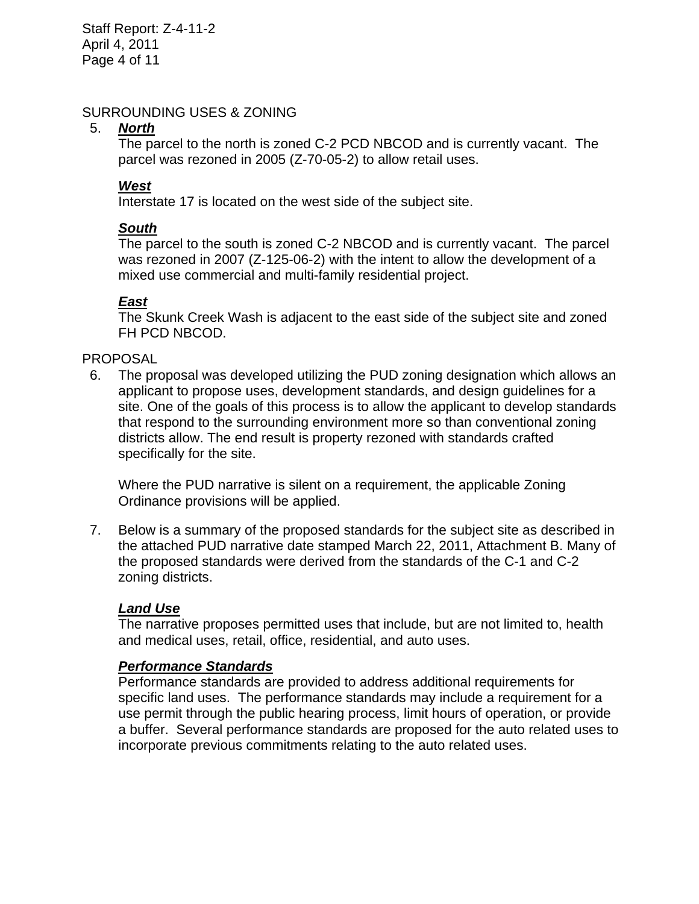Staff Report: Z-4-11-2 April 4, 2011 Page 4 of 11

#### SURROUNDING USES & ZONING

#### 5. *North*

The parcel to the north is zoned C-2 PCD NBCOD and is currently vacant. The parcel was rezoned in 2005 (Z-70-05-2) to allow retail uses.

## *West*

Interstate 17 is located on the west side of the subject site.

## *South*

The parcel to the south is zoned C-2 NBCOD and is currently vacant. The parcel was rezoned in 2007 (Z-125-06-2) with the intent to allow the development of a mixed use commercial and multi-family residential project.

## *East*

The Skunk Creek Wash is adjacent to the east side of the subject site and zoned FH PCD NBCOD.

## PROPOSAL

 6. The proposal was developed utilizing the PUD zoning designation which allows an applicant to propose uses, development standards, and design guidelines for a site. One of the goals of this process is to allow the applicant to develop standards that respond to the surrounding environment more so than conventional zoning districts allow. The end result is property rezoned with standards crafted specifically for the site.

Where the PUD narrative is silent on a requirement, the applicable Zoning Ordinance provisions will be applied.

 7. Below is a summary of the proposed standards for the subject site as described in the attached PUD narrative date stamped March 22, 2011, Attachment B. Many of the proposed standards were derived from the standards of the C-1 and C-2 zoning districts.

#### *Land Use*

The narrative proposes permitted uses that include, but are not limited to, health and medical uses, retail, office, residential, and auto uses.

#### *Performance Standards*

Performance standards are provided to address additional requirements for specific land uses. The performance standards may include a requirement for a use permit through the public hearing process, limit hours of operation, or provide a buffer. Several performance standards are proposed for the auto related uses to incorporate previous commitments relating to the auto related uses.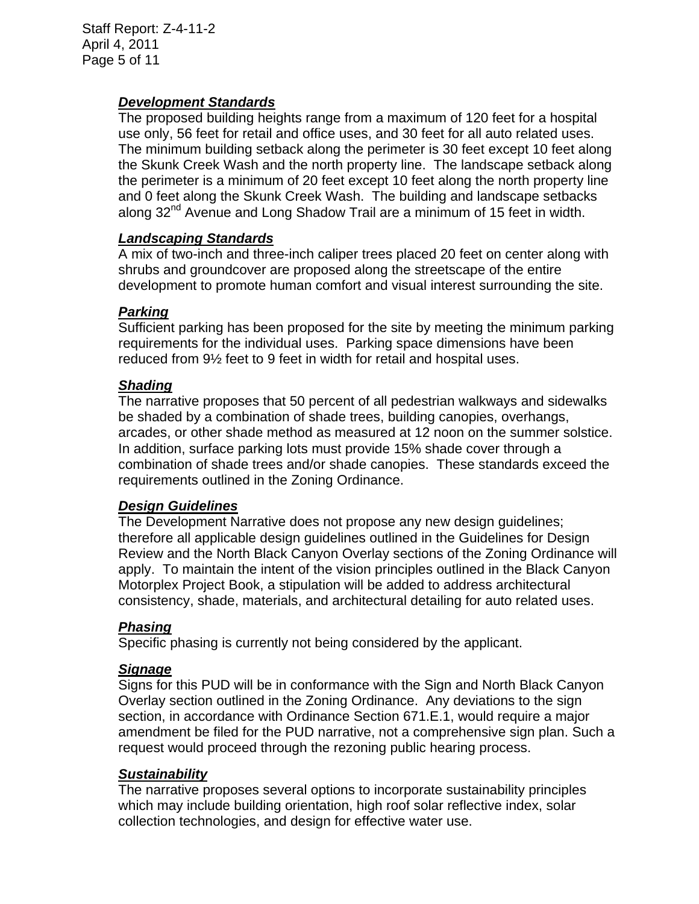## *Development Standards*

The proposed building heights range from a maximum of 120 feet for a hospital use only, 56 feet for retail and office uses, and 30 feet for all auto related uses. The minimum building setback along the perimeter is 30 feet except 10 feet along the Skunk Creek Wash and the north property line. The landscape setback along the perimeter is a minimum of 20 feet except 10 feet along the north property line and 0 feet along the Skunk Creek Wash. The building and landscape setbacks along 32<sup>nd</sup> Avenue and Long Shadow Trail are a minimum of 15 feet in width.

## *Landscaping Standards*

A mix of two-inch and three-inch caliper trees placed 20 feet on center along with shrubs and groundcover are proposed along the streetscape of the entire development to promote human comfort and visual interest surrounding the site.

#### *Parking*

Sufficient parking has been proposed for the site by meeting the minimum parking requirements for the individual uses. Parking space dimensions have been reduced from 9½ feet to 9 feet in width for retail and hospital uses.

#### *Shading*

The narrative proposes that 50 percent of all pedestrian walkways and sidewalks be shaded by a combination of shade trees, building canopies, overhangs, arcades, or other shade method as measured at 12 noon on the summer solstice. In addition, surface parking lots must provide 15% shade cover through a combination of shade trees and/or shade canopies. These standards exceed the requirements outlined in the Zoning Ordinance.

#### *Design Guidelines*

The Development Narrative does not propose any new design guidelines; therefore all applicable design guidelines outlined in the Guidelines for Design Review and the North Black Canyon Overlay sections of the Zoning Ordinance will apply. To maintain the intent of the vision principles outlined in the Black Canyon Motorplex Project Book, a stipulation will be added to address architectural consistency, shade, materials, and architectural detailing for auto related uses.

#### *Phasing*

Specific phasing is currently not being considered by the applicant.

#### *Signage*

Signs for this PUD will be in conformance with the Sign and North Black Canyon Overlay section outlined in the Zoning Ordinance. Any deviations to the sign section, in accordance with Ordinance Section 671.E.1, would require a major amendment be filed for the PUD narrative, not a comprehensive sign plan. Such a request would proceed through the rezoning public hearing process.

#### *Sustainability*

The narrative proposes several options to incorporate sustainability principles which may include building orientation, high roof solar reflective index, solar collection technologies, and design for effective water use.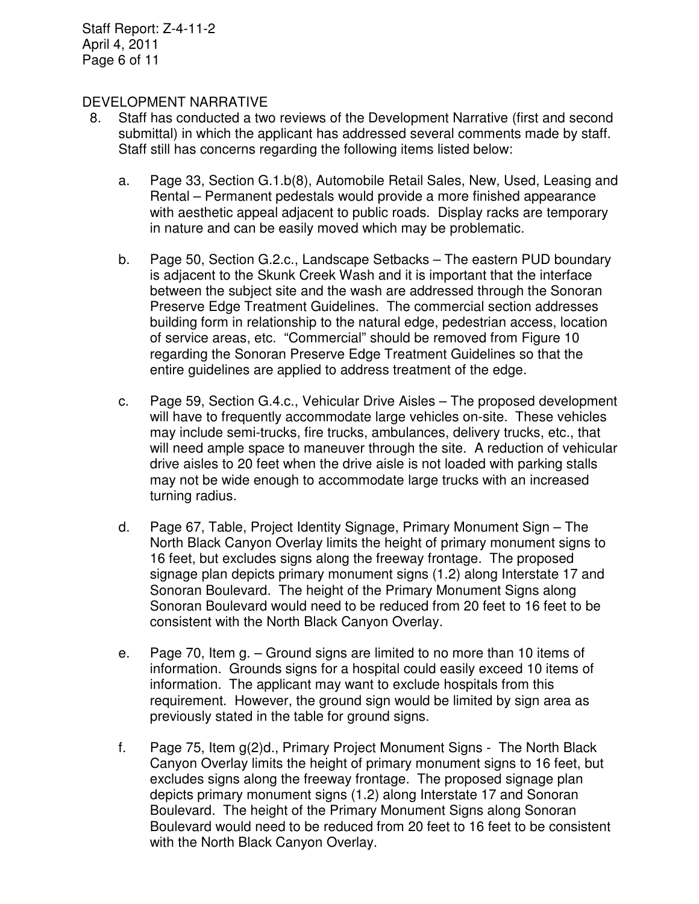#### DEVELOPMENT NARRATIVE

- 8. Staff has conducted a two reviews of the Development Narrative (first and second submittal) in which the applicant has addressed several comments made by staff. Staff still has concerns regarding the following items listed below:
	- a. Page 33, Section G.1.b(8), Automobile Retail Sales, New, Used, Leasing and Rental – Permanent pedestals would provide a more finished appearance with aesthetic appeal adjacent to public roads. Display racks are temporary in nature and can be easily moved which may be problematic.
	- b. Page 50, Section G.2.c., Landscape Setbacks The eastern PUD boundary is adjacent to the Skunk Creek Wash and it is important that the interface between the subject site and the wash are addressed through the Sonoran Preserve Edge Treatment Guidelines. The commercial section addresses building form in relationship to the natural edge, pedestrian access, location of service areas, etc. "Commercial" should be removed from Figure 10 regarding the Sonoran Preserve Edge Treatment Guidelines so that the entire guidelines are applied to address treatment of the edge.
	- c. Page 59, Section G.4.c., Vehicular Drive Aisles The proposed development will have to frequently accommodate large vehicles on-site. These vehicles may include semi-trucks, fire trucks, ambulances, delivery trucks, etc., that will need ample space to maneuver through the site. A reduction of vehicular drive aisles to 20 feet when the drive aisle is not loaded with parking stalls may not be wide enough to accommodate large trucks with an increased turning radius.
	- d. Page 67, Table, Project Identity Signage, Primary Monument Sign The North Black Canyon Overlay limits the height of primary monument signs to 16 feet, but excludes signs along the freeway frontage. The proposed signage plan depicts primary monument signs (1.2) along Interstate 17 and Sonoran Boulevard. The height of the Primary Monument Signs along Sonoran Boulevard would need to be reduced from 20 feet to 16 feet to be consistent with the North Black Canyon Overlay.
	- e. Page 70, Item g. Ground signs are limited to no more than 10 items of information. Grounds signs for a hospital could easily exceed 10 items of information. The applicant may want to exclude hospitals from this requirement. However, the ground sign would be limited by sign area as previously stated in the table for ground signs.
	- f. Page 75, Item g(2)d., Primary Project Monument Signs The North Black Canyon Overlay limits the height of primary monument signs to 16 feet, but excludes signs along the freeway frontage. The proposed signage plan depicts primary monument signs (1.2) along Interstate 17 and Sonoran Boulevard. The height of the Primary Monument Signs along Sonoran Boulevard would need to be reduced from 20 feet to 16 feet to be consistent with the North Black Canyon Overlay.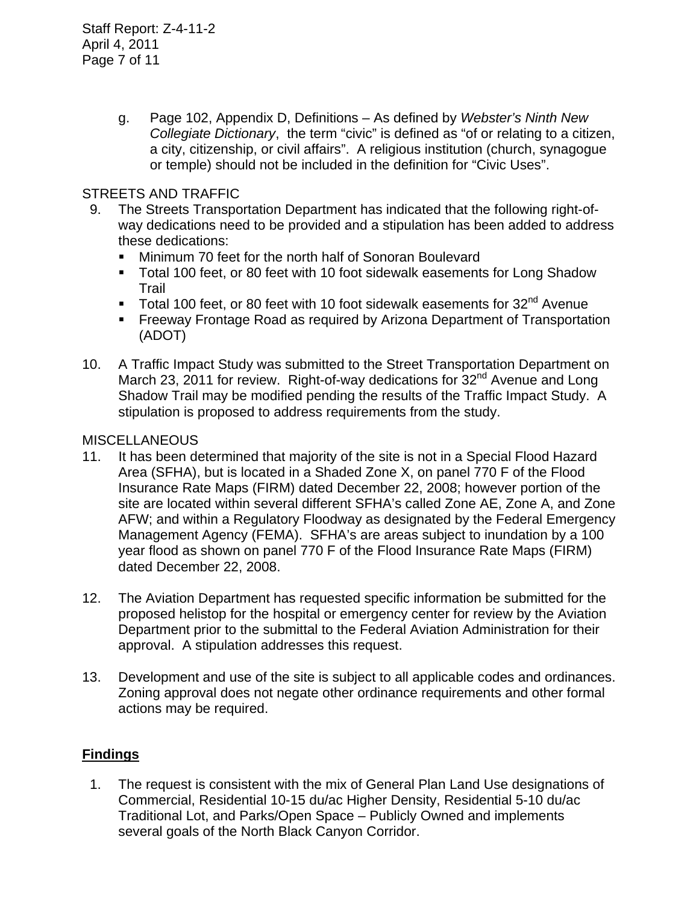g. Page 102, Appendix D, Definitions – As defined by *Webster's Ninth New Collegiate Dictionary*, the term "civic" is defined as "of or relating to a citizen, a city, citizenship, or civil affairs". A religious institution (church, synagogue or temple) should not be included in the definition for "Civic Uses".

## STREETS AND TRAFFIC

- 9. The Streets Transportation Department has indicated that the following right-ofway dedications need to be provided and a stipulation has been added to address these dedications:
	- **Minimum 70 feet for the north half of Sonoran Boulevard**
	- Total 100 feet, or 80 feet with 10 foot sidewalk easements for Long Shadow Trail
	- Total 100 feet, or 80 feet with 10 foot sidewalk easements for  $32<sup>nd</sup>$  Avenue
	- **Filter Freeway Frontage Road as required by Arizona Department of Transportation** (ADOT)
- 10. A Traffic Impact Study was submitted to the Street Transportation Department on March 23, 2011 for review. Right-of-way dedications for 32<sup>nd</sup> Avenue and Long Shadow Trail may be modified pending the results of the Traffic Impact Study. A stipulation is proposed to address requirements from the study.

## **MISCELLANEOUS**

- 11. It has been determined that majority of the site is not in a Special Flood Hazard Area (SFHA), but is located in a Shaded Zone X, on panel 770 F of the Flood Insurance Rate Maps (FIRM) dated December 22, 2008; however portion of the site are located within several different SFHA's called Zone AE, Zone A, and Zone AFW; and within a Regulatory Floodway as designated by the Federal Emergency Management Agency (FEMA). SFHA's are areas subject to inundation by a 100 year flood as shown on panel 770 F of the Flood Insurance Rate Maps (FIRM) dated December 22, 2008.
- 12. The Aviation Department has requested specific information be submitted for the proposed helistop for the hospital or emergency center for review by the Aviation Department prior to the submittal to the Federal Aviation Administration for their approval. A stipulation addresses this request.
- 13. Development and use of the site is subject to all applicable codes and ordinances. Zoning approval does not negate other ordinance requirements and other formal actions may be required.

## **Findings**

 1. The request is consistent with the mix of General Plan Land Use designations of Commercial, Residential 10-15 du/ac Higher Density, Residential 5-10 du/ac Traditional Lot, and Parks/Open Space – Publicly Owned and implements several goals of the North Black Canyon Corridor.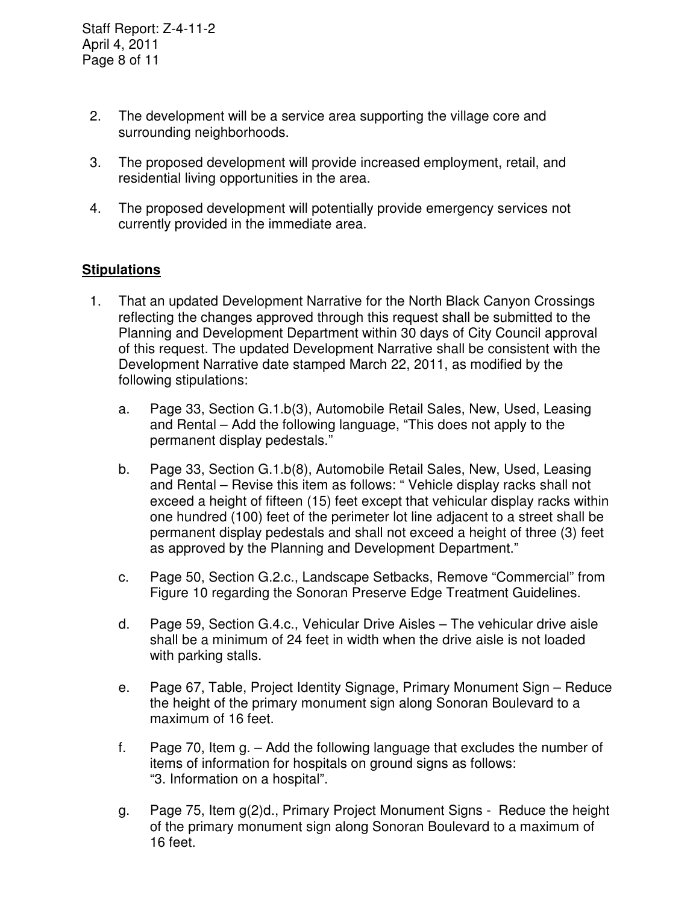Staff Report: Z-4-11-2 April 4, 2011 Page 8 of 11

- 2. The development will be a service area supporting the village core and surrounding neighborhoods.
- 3. The proposed development will provide increased employment, retail, and residential living opportunities in the area.
- 4. The proposed development will potentially provide emergency services not currently provided in the immediate area.

## **Stipulations**

- 1. That an updated Development Narrative for the North Black Canyon Crossings reflecting the changes approved through this request shall be submitted to the Planning and Development Department within 30 days of City Council approval of this request. The updated Development Narrative shall be consistent with the Development Narrative date stamped March 22, 2011, as modified by the following stipulations:
	- a. Page 33, Section G.1.b(3), Automobile Retail Sales, New, Used, Leasing and Rental – Add the following language, "This does not apply to the permanent display pedestals."
	- b. Page 33, Section G.1.b(8), Automobile Retail Sales, New, Used, Leasing and Rental – Revise this item as follows: " Vehicle display racks shall not exceed a height of fifteen (15) feet except that vehicular display racks within one hundred (100) feet of the perimeter lot line adjacent to a street shall be permanent display pedestals and shall not exceed a height of three (3) feet as approved by the Planning and Development Department."
	- c. Page 50, Section G.2.c., Landscape Setbacks, Remove "Commercial" from Figure 10 regarding the Sonoran Preserve Edge Treatment Guidelines.
	- d. Page 59, Section G.4.c., Vehicular Drive Aisles The vehicular drive aisle shall be a minimum of 24 feet in width when the drive aisle is not loaded with parking stalls.
	- e. Page 67, Table, Project Identity Signage, Primary Monument Sign Reduce the height of the primary monument sign along Sonoran Boulevard to a maximum of 16 feet.
	- f. Page 70, Item g. Add the following language that excludes the number of items of information for hospitals on ground signs as follows: "3. Information on a hospital".
	- g. Page 75, Item g(2)d., Primary Project Monument Signs Reduce the height of the primary monument sign along Sonoran Boulevard to a maximum of 16 feet.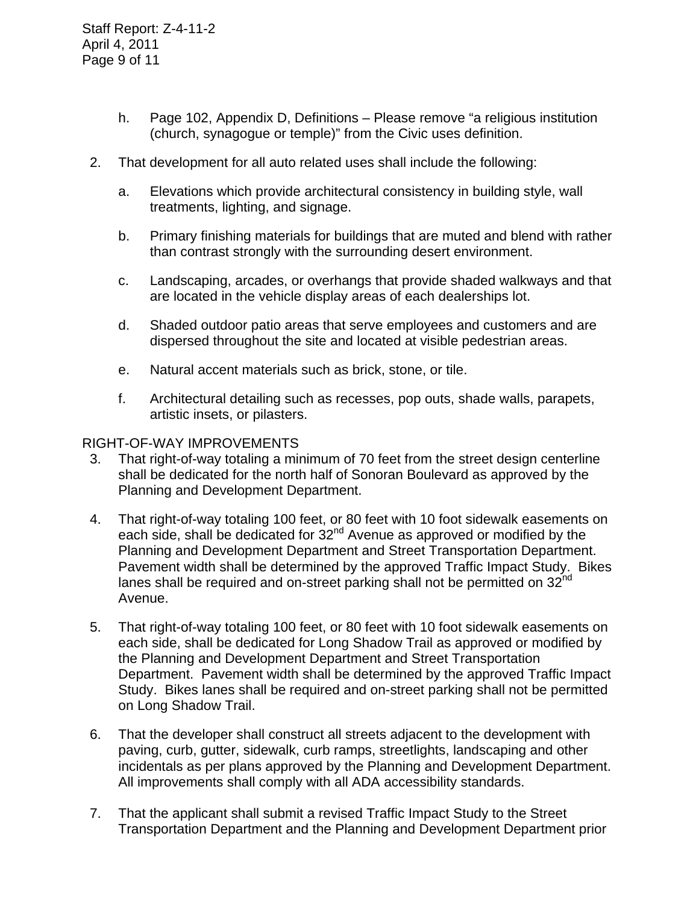- h. Page 102, Appendix D, Definitions Please remove "a religious institution (church, synagogue or temple)" from the Civic uses definition.
- 2. That development for all auto related uses shall include the following:
	- a. Elevations which provide architectural consistency in building style, wall treatments, lighting, and signage.
	- b. Primary finishing materials for buildings that are muted and blend with rather than contrast strongly with the surrounding desert environment.
	- c. Landscaping, arcades, or overhangs that provide shaded walkways and that are located in the vehicle display areas of each dealerships lot.
	- d. Shaded outdoor patio areas that serve employees and customers and are dispersed throughout the site and located at visible pedestrian areas.
	- e. Natural accent materials such as brick, stone, or tile.
	- f. Architectural detailing such as recesses, pop outs, shade walls, parapets, artistic insets, or pilasters.

#### RIGHT-OF-WAY IMPROVEMENTS

- 3. That right-of-way totaling a minimum of 70 feet from the street design centerline shall be dedicated for the north half of Sonoran Boulevard as approved by the Planning and Development Department.
- 4. That right-of-way totaling 100 feet, or 80 feet with 10 foot sidewalk easements on each side, shall be dedicated for 32<sup>nd</sup> Avenue as approved or modified by the Planning and Development Department and Street Transportation Department. Pavement width shall be determined by the approved Traffic Impact Study. Bikes lanes shall be required and on-street parking shall not be permitted on  $32<sup>nd</sup>$ Avenue.
- 5. That right-of-way totaling 100 feet, or 80 feet with 10 foot sidewalk easements on each side, shall be dedicated for Long Shadow Trail as approved or modified by the Planning and Development Department and Street Transportation Department. Pavement width shall be determined by the approved Traffic Impact Study. Bikes lanes shall be required and on-street parking shall not be permitted on Long Shadow Trail.
- 6. That the developer shall construct all streets adjacent to the development with paving, curb, gutter, sidewalk, curb ramps, streetlights, landscaping and other incidentals as per plans approved by the Planning and Development Department. All improvements shall comply with all ADA accessibility standards.
- 7. That the applicant shall submit a revised Traffic Impact Study to the Street Transportation Department and the Planning and Development Department prior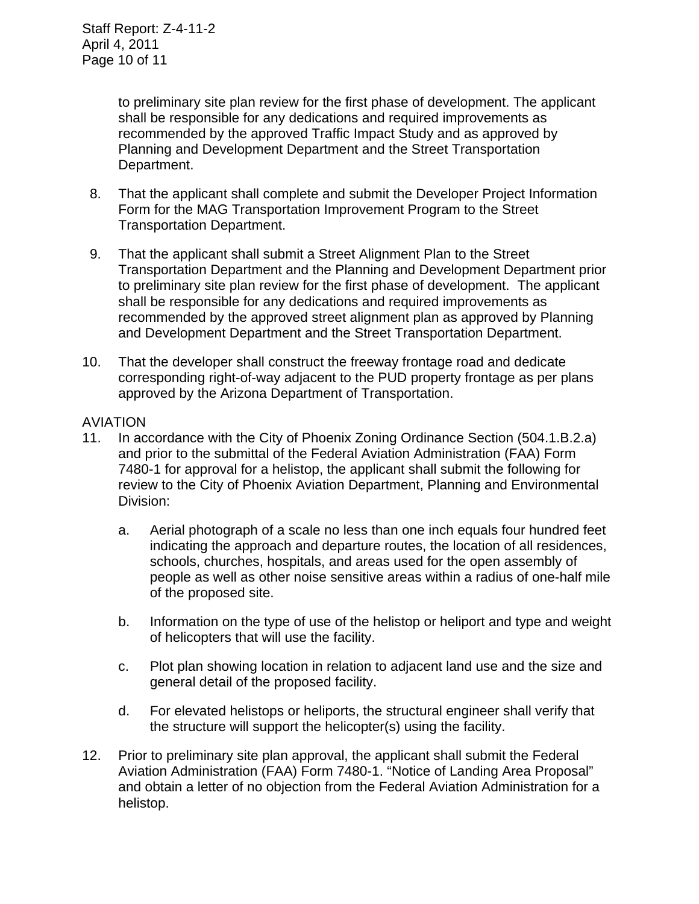to preliminary site plan review for the first phase of development. The applicant shall be responsible for any dedications and required improvements as recommended by the approved Traffic Impact Study and as approved by Planning and Development Department and the Street Transportation Department.

- 8. That the applicant shall complete and submit the Developer Project Information Form for the MAG Transportation Improvement Program to the Street Transportation Department.
- 9. That the applicant shall submit a Street Alignment Plan to the Street Transportation Department and the Planning and Development Department prior to preliminary site plan review for the first phase of development. The applicant shall be responsible for any dedications and required improvements as recommended by the approved street alignment plan as approved by Planning and Development Department and the Street Transportation Department.
- 10. That the developer shall construct the freeway frontage road and dedicate corresponding right-of-way adjacent to the PUD property frontage as per plans approved by the Arizona Department of Transportation.

#### AVIATION

- 11. In accordance with the City of Phoenix Zoning Ordinance Section (504.1.B.2.a) and prior to the submittal of the Federal Aviation Administration (FAA) Form 7480-1 for approval for a helistop, the applicant shall submit the following for review to the City of Phoenix Aviation Department, Planning and Environmental Division:
	- a. Aerial photograph of a scale no less than one inch equals four hundred feet indicating the approach and departure routes, the location of all residences, schools, churches, hospitals, and areas used for the open assembly of people as well as other noise sensitive areas within a radius of one-half mile of the proposed site.
	- b. Information on the type of use of the helistop or heliport and type and weight of helicopters that will use the facility.
	- c. Plot plan showing location in relation to adjacent land use and the size and general detail of the proposed facility.
	- d. For elevated helistops or heliports, the structural engineer shall verify that the structure will support the helicopter(s) using the facility.
- 12. Prior to preliminary site plan approval, the applicant shall submit the Federal Aviation Administration (FAA) Form 7480-1. "Notice of Landing Area Proposal" and obtain a letter of no objection from the Federal Aviation Administration for a helistop.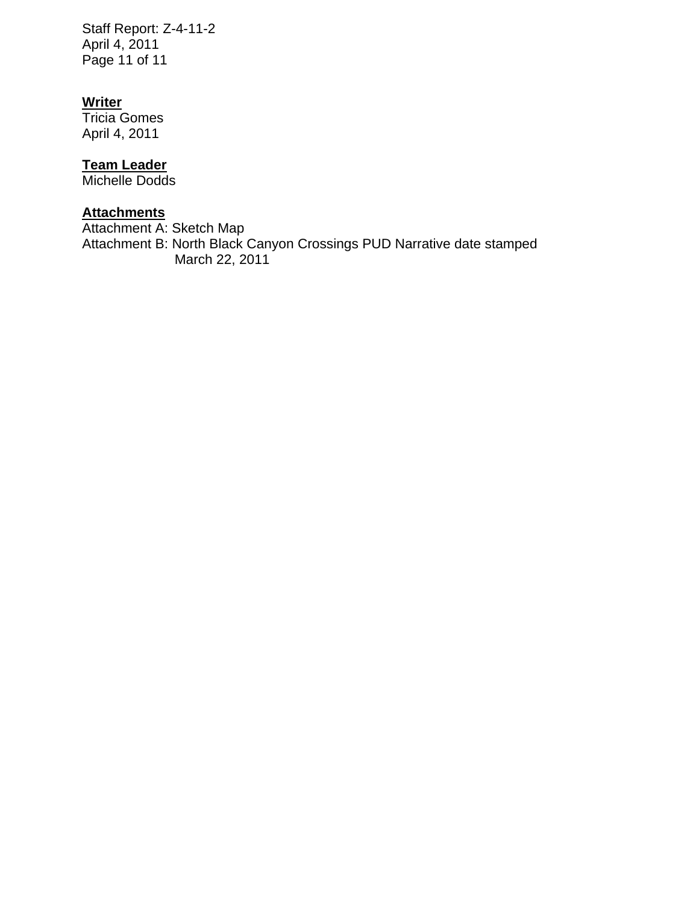Staff Report: Z-4-11-2 April 4, 2011 Page 11 of 11

#### **Writer**

Tricia Gomes April 4, 2011

## **Team Leader**

Michelle Dodds

# **Attachments**

Attachment A: Sketch Map Attachment B: North Black Canyon Crossings PUD Narrative date stamped March 22, 2011